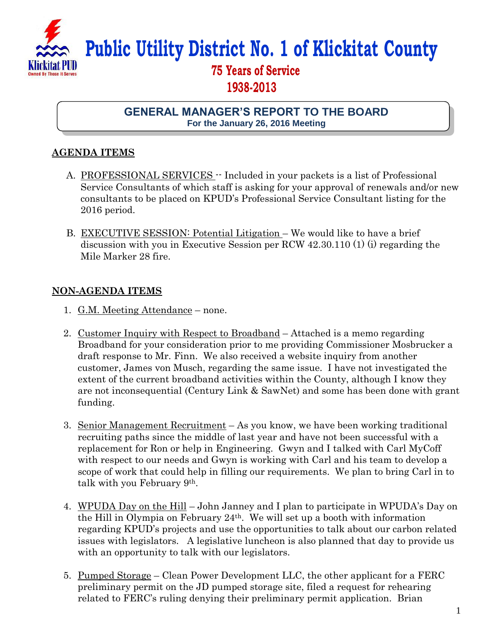

## **Public Utility District No. 1 of Klickitat County**

## **75 Years of Service 1938-2013**

**GENERAL MANAGER'S REPORT TO THE BOARD For the January 26, 2016 Meeting**

## **AGENDA ITEMS**

- A. PROFESSIONAL SERVICES -- Included in your packets is a list of Professional Service Consultants of which staff is asking for your approval of renewals and/or new consultants to be placed on KPUD's Professional Service Consultant listing for the 2016 period.
- B. EXECUTIVE SESSION: Potential Litigation We would like to have a brief discussion with you in Executive Session per RCW 42.30.110 (1) (i) regarding the Mile Marker 28 fire.

## **NON-AGENDA ITEMS**

- 1. G.M. Meeting Attendance none.
- 2. Customer Inquiry with Respect to Broadband Attached is a memo regarding Broadband for your consideration prior to me providing Commissioner Mosbrucker a draft response to Mr. Finn. We also received a website inquiry from another customer, James von Musch, regarding the same issue. I have not investigated the extent of the current broadband activities within the County, although I know they are not inconsequential (Century Link & SawNet) and some has been done with grant funding.
- 3. Senior Management Recruitment As you know, we have been working traditional recruiting paths since the middle of last year and have not been successful with a replacement for Ron or help in Engineering. Gwyn and I talked with Carl MyCoff with respect to our needs and Gwyn is working with Carl and his team to develop a scope of work that could help in filling our requirements. We plan to bring Carl in to talk with you February 9th.
- 4. WPUDA Day on the Hill John Janney and I plan to participate in WPUDA's Day on the Hill in Olympia on February 24th. We will set up a booth with information regarding KPUD's projects and use the opportunities to talk about our carbon related issues with legislators. A legislative luncheon is also planned that day to provide us with an opportunity to talk with our legislators.
- 5. Pumped Storage Clean Power Development LLC, the other applicant for a FERC preliminary permit on the JD pumped storage site, filed a request for rehearing related to FERC's ruling denying their preliminary permit application. Brian